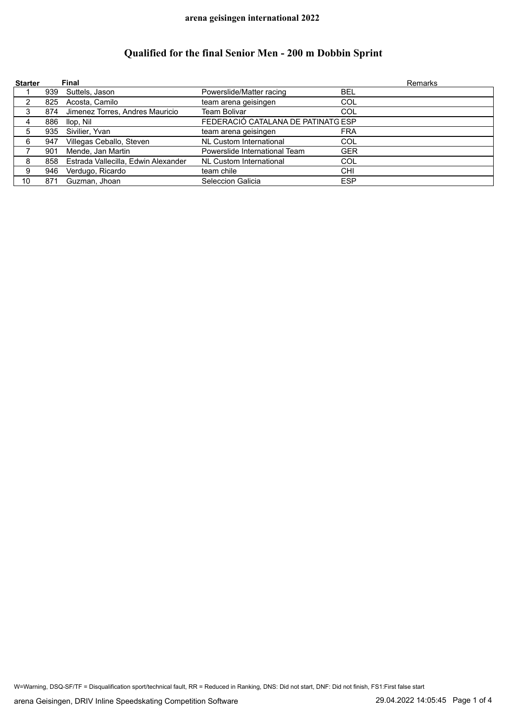# **Qualified for the final Senior Men - 200 m Dobbin Sprint**

| <b>Starter</b> |     | Final                               |                                    |            | Remarks |
|----------------|-----|-------------------------------------|------------------------------------|------------|---------|
|                | 939 | Suttels, Jason                      | Powerslide/Matter racing           | <b>BEL</b> |         |
|                | 825 | Acosta, Camilo                      | team arena geisingen               | COL        |         |
| 3              | 874 | Jimenez Torres, Andres Mauricio     | Team Bolivar                       | COL        |         |
| 4              | 886 | llop, Nil                           | FEDERACIÓ CATALANA DE PATINATG ESP |            |         |
| 5              | 935 | Sivilier, Yvan                      | team arena geisingen               | <b>FRA</b> |         |
| 6              | 947 | Villegas Ceballo, Steven            | <b>NL Custom International</b>     | COL        |         |
|                | 901 | Mende, Jan Martin                   | Powerslide International Team      | <b>GER</b> |         |
| 8              | 858 | Estrada Vallecilla, Edwin Alexander | NL Custom International            | COL        |         |
| 9              | 946 | Verdugo, Ricardo                    | team chile                         | CHI        |         |
| 10             | 871 | Guzman, Jhoan                       | Seleccion Galicia                  | <b>ESP</b> |         |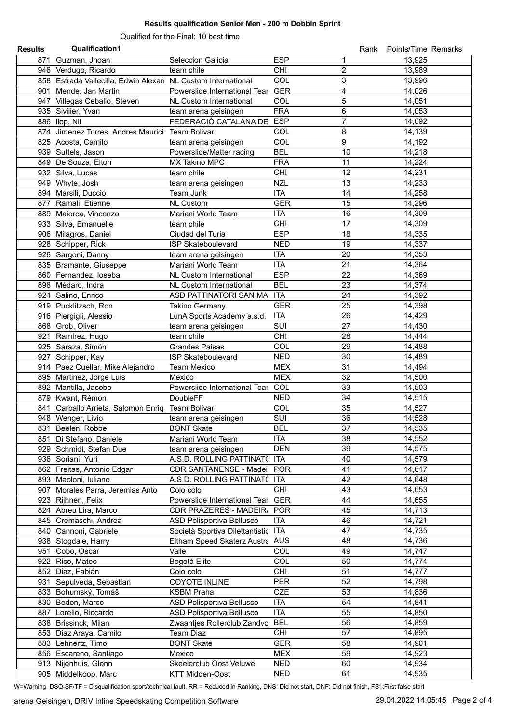### **Results qualification Senior Men - 200 m Dobbin Sprint**

Qualified for the Final: 10 best time

| <b>Results</b> | <b>Qualification1</b>                                        |                                     |                              | Rank | Points/Time Remarks |
|----------------|--------------------------------------------------------------|-------------------------------------|------------------------------|------|---------------------|
|                | 871 Guzman, Jhoan                                            | Seleccion Galicia                   | <b>ESP</b><br>1              |      | 13,925              |
|                | 946 Verdugo, Ricardo                                         | team chile                          | CHI<br>$\overline{c}$        |      | 13,989              |
|                | 858 Estrada Vallecilla, Edwin Alexan NL Custom International |                                     | COL<br>3                     |      | 13,996              |
|                | 901 Mende, Jan Martin                                        | Powerslide International Tear       | 4<br><b>GER</b>              |      | 14,026              |
|                | 947 Villegas Ceballo, Steven                                 | NL Custom International             | 5<br>COL                     |      | 14,051              |
|                | 935 Sivilier, Yvan                                           |                                     | <b>FRA</b><br>6              |      | 14,053              |
|                |                                                              | team arena geisingen                |                              |      |                     |
|                | 886 Ilop, Nil                                                | FEDERACIÓ CATALANA DE               | $\overline{7}$<br><b>ESP</b> |      | 14,092              |
|                | 874 Jimenez Torres, Andres Maurici Team Bolivar              |                                     | 8<br>COL                     |      | 14,139              |
|                | 825 Acosta, Camilo                                           | team arena geisingen                | 9<br>COL                     |      | 14,192              |
|                | 939 Suttels, Jason                                           | Powerslide/Matter racing            | <b>BEL</b><br>10             |      | 14,218              |
|                | 849 De Souza, Elton                                          | <b>MX Takino MPC</b>                | <b>FRA</b><br>11             |      | 14,224              |
|                | 932 Silva, Lucas                                             | team chile                          | CHI<br>12                    |      | 14,231              |
|                | 949 Whyte, Josh                                              | team arena geisingen                | <b>NZL</b><br>13             |      | 14,233              |
|                | 894 Marsili, Duccio                                          | Team Junk                           | <b>ITA</b><br>14             |      | 14,258              |
|                | 877 Ramali, Etienne                                          | <b>NL Custom</b>                    | <b>GER</b><br>15             |      | 14,296              |
|                | 889 Maiorca, Vincenzo                                        | Mariani World Team                  | <b>ITA</b><br>16             |      | 14,309              |
|                | 933 Silva, Emanuelle                                         | team chile                          | CHI<br>17                    |      | 14,309              |
|                | 906 Milagros, Daniel                                         | Ciudad del Turia                    | <b>ESP</b><br>18             |      | 14,335              |
|                | 928 Schipper, Rick                                           | <b>ISP Skateboulevard</b>           | <b>NED</b><br>19             |      | 14,337              |
|                |                                                              |                                     |                              |      |                     |
|                | 926 Sargoni, Danny                                           | team arena geisingen                | <b>ITA</b><br>20             |      | 14,353              |
|                | 835 Bramante, Giuseppe                                       | Mariani World Team                  | <b>ITA</b><br>21             |      | 14,364              |
|                | 860 Fernandez, loseba                                        | <b>NL Custom International</b>      | <b>ESP</b><br>22             |      | 14,369              |
|                | 898 Médard, Indra                                            | NL Custom International             | <b>BEL</b><br>23             |      | 14,374              |
|                | 924 Salino, Enrico                                           | ASD PATTINATORI SAN MA              | <b>ITA</b><br>24             |      | 14,392              |
|                | 919 Pucklitzsch, Ron                                         | <b>Takino Germany</b>               | <b>GER</b><br>25             |      | 14,398              |
|                | 916 Piergigli, Alessio                                       | LunA Sports Academy a.s.d.          | <b>ITA</b><br>26             |      | 14,429              |
|                | 868 Grob, Oliver                                             | team arena geisingen                | SUI<br>27                    |      | 14,430              |
|                | 921 Ramírez, Hugo                                            | team chile                          | CHI<br>28                    |      | 14,444              |
|                | 925 Saraza, Simón                                            | <b>Grandes Paisas</b>               | COL<br>29                    |      | 14,488              |
|                | 927 Schipper, Kay                                            | <b>ISP Skateboulevard</b>           | <b>NED</b><br>30             |      | 14,489              |
|                |                                                              |                                     |                              |      |                     |
|                | 914 Paez Cuellar, Mike Alejandro                             | <b>Team Mexico</b>                  | <b>MEX</b><br>31             |      | 14,494              |
|                | 895 Martinez, Jorge Luis                                     | Mexico                              | <b>MEX</b><br>32             |      | 14,500              |
|                | 892 Mantilla, Jacobo                                         | Powerslide International Tear       | COL<br>33                    |      | 14,503              |
|                | 879 Kwant, Rémon                                             | <b>DoubleFF</b>                     | <b>NED</b><br>34             |      | 14,515              |
|                | 841 Carballo Arrieta, Salomon Enriq                          | <b>Team Bolivar</b>                 | COL<br>35                    |      | 14,527              |
|                | 948 Wenger, Livio                                            | team arena geisingen                | SUI<br>36                    |      | 14,528              |
|                | 831 Beelen, Robbe                                            | <b>BONT Skate</b>                   | <b>BEL</b><br>37             |      | 14,535              |
|                | 851 Di Stefano, Daniele                                      | Mariani World Team                  | <b>ITA</b><br>38             |      | 14,552              |
|                | 929 Schmidt, Stefan Due                                      | team arena geisingen                | <b>DEN</b><br>39             |      | 14,575              |
|                | 936 Soriani, Yuri                                            | A.S.D. ROLLING PATTINAT( ITA        | 40                           |      | 14,579              |
|                | 862 Freitas, Antonio Edgar                                   | CDR SANTANENSE - Madei              | 41<br><b>POR</b>             |      | 14,617              |
|                | 893 Maoloni, Iuliano                                         | A.S.D. ROLLING PATTINAT(            | 42<br><b>ITA</b>             |      | 14,648              |
|                | 907 Morales Parra, Jeremias Anto                             | Colo colo                           | <b>CHI</b><br>43             |      |                     |
|                |                                                              |                                     |                              |      | 14,653              |
|                | 923 Rijhnen, Felix                                           | Powerslide International Tear       | <b>GER</b><br>44             |      | 14,655              |
|                | 824 Abreu Lira, Marco                                        | CDR PRAZERES - MADEIR,              | 45<br><b>POR</b>             |      | 14,713              |
|                | 845 Cremaschi, Andrea                                        | ASD Polisportiva Bellusco           | ITA<br>46                    |      | 14,721              |
|                | 840 Cannoni, Gabriele                                        | Società Sportiva Dilettantistic ITA | 47                           |      | 14,735              |
|                | 938 Stogdale, Harry                                          | Eltham Speed Skaterz Austra AUS     | 48                           |      | 14,736              |
|                | 951 Cobo, Oscar                                              | Valle                               | COL<br>49                    |      | 14,747              |
|                | 922 Rico, Mateo                                              | Bogotá Elite                        | COL<br>50                    |      | 14,774              |
|                | 852 Diaz, Fabián                                             | Colo colo                           | CHI<br>51                    |      | 14,777              |
|                | 931 Sepulveda, Sebastian                                     | <b>COYOTE INLINE</b>                | <b>PER</b><br>52             |      | 14,798              |
|                | 833 Bohumský, Tomáš                                          | <b>KSBM Praha</b>                   | CZE<br>53                    |      | 14,836              |
|                | 830 Bedon, Marco                                             | ASD Polisportiva Bellusco           | <b>ITA</b><br>54             |      | 14,841              |
|                |                                                              |                                     |                              |      |                     |
|                | 887 Lorello, Riccardo                                        | ASD Polisportiva Bellusco           | <b>ITA</b><br>55             |      | 14,850              |
|                | 838 Brissinck, Milan                                         | Zwaantjes Rollerclub Zandvc         | <b>BEL</b><br>56             |      | 14,859              |
|                | 853 Diaz Araya, Camilo                                       | <b>Team Diaz</b>                    | <b>CHI</b><br>57             |      | 14,895              |
|                | 883 Lehnertz, Timo                                           | <b>BONT Skate</b>                   | <b>GER</b><br>58             |      | 14,901              |
|                | 856 Escareno, Santiago                                       | Mexico                              | <b>MEX</b><br>59             |      | 14,923              |
|                | 913 Nijenhuis, Glenn                                         | Skeelerclub Oost Veluwe             | <b>NED</b><br>60             |      | 14,934              |
|                | 905 Middelkoop, Marc                                         | KTT Midden-Oost                     | <b>NED</b><br>61             |      | 14,935              |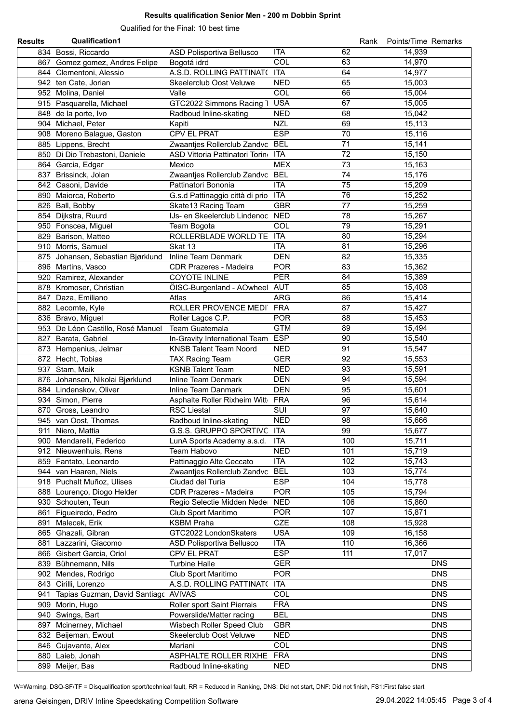## **Results qualification Senior Men - 200 m Dobbin Sprint**

# Qualified for the Final: 10 best time

| <b>Results</b> | <b>Qualification1</b>                                 |                                     |                               | Rank Points/Time Remarks |
|----------------|-------------------------------------------------------|-------------------------------------|-------------------------------|--------------------------|
|                | 834 Bossi, Riccardo                                   | ASD Polisportiva Bellusco           | <b>ITA</b><br>62              | 14,939                   |
|                | 867 Gomez gomez, Andres Felipe                        | Bogotá idrd                         | COL<br>63                     | 14,970                   |
|                | 844 Clementoni, Alessio                               | A.S.D. ROLLING PATTINAT(            | <b>ITA</b><br>64              | 14,977                   |
|                | 942 ten Cate, Jorian                                  | Skeelerclub Oost Veluwe             | <b>NED</b><br>65              | 15,003                   |
|                | 952 Molina, Daniel                                    | Valle                               | COL<br>66                     | 15,004                   |
|                | 915 Pasquarella, Michael                              | GTC2022 Simmons Racing 1            | <b>USA</b><br>67              | 15,005                   |
|                | 848 de la porte, Ivo                                  | Radboud Inline-skating              | <b>NED</b><br>68              | 15,042                   |
|                | 904 Michael, Peter                                    | Kapiti                              | <b>NZL</b><br>69              | 15,113                   |
|                | 908 Moreno Balague, Gaston                            | <b>CPV EL PRAT</b>                  | <b>ESP</b><br>70              | 15,116                   |
|                | 885 Lippens, Brecht                                   | Zwaantjes Rollerclub Zandvc         | <b>BEL</b><br>71              | 15,141                   |
|                | 850 Di Dio Trebastoni, Daniele                        | ASD Vittoria Pattinatori Torino     | 72<br><b>ITA</b>              | 15,150                   |
|                | 864 Garcia, Edgar                                     | Mexico                              | <b>MEX</b><br>73              | 15,163                   |
|                | 837 Brissinck, Jolan                                  | Zwaantjes Rollerclub Zandvc BEL     | 74                            | 15,176                   |
|                |                                                       | Pattinatori Bononia                 | <b>ITA</b><br>75              | 15,209                   |
|                | 842 Casoni, Davide                                    |                                     |                               |                          |
|                | 890 Maiorca, Roberto                                  | G.s.d Pattinaggio città di prio ITA | 76                            | 15,252                   |
|                | 826 Ball, Bobby                                       | Skate13 Racing Team                 | <b>GBR</b><br>77              | 15,259                   |
|                | 854 Dijkstra, Ruurd                                   | IJs- en Skeelerclub Lindenoc NED    | 78                            | 15,267                   |
|                | 950 Fonscea, Miguel                                   | Team Bogota                         | COL<br>79                     | 15,291                   |
|                | 829 Barison, Matteo                                   | ROLLERBLADE WORLD TE ITA            | 80                            | 15,294                   |
|                | 910 Morris, Samuel                                    | Skat 13                             | 81<br>ITA.                    | 15,296                   |
|                | 875 Johansen, Sebastian Bjørklund Inline Team Denmark |                                     | <b>DEN</b><br>82              | 15,335                   |
|                | 896 Martins, Vasco                                    | <b>CDR Prazeres - Madeira</b>       | <b>POR</b><br>83              | 15,362                   |
|                | 920 Ramirez, Alexander                                | <b>COYOTE INLINE</b>                | <b>PER</b><br>84              | 15,389                   |
|                | 878 Kromoser, Christian                               | ÖISC-Burgenland - AOwheel AUT       | 85                            | 15,408                   |
|                | 847 Daza, Emiliano                                    | Atlas                               | <b>ARG</b><br>86              | 15,414                   |
|                | 882 Lecomte, Kyle                                     | ROLLER PROVENCE MEDI                | <b>FRA</b><br>87              | 15,427                   |
|                | 836 Bravo, Miguel                                     | Roller Lagos C.P.                   | <b>POR</b><br>88              | 15,453                   |
|                | 953 De Léon Castillo, Rosé Manuel                     | Team Guatemala                      | <b>GTM</b><br>89              | 15,494                   |
|                | 827 Barata, Gabriel                                   | In-Gravity International Team       | <b>ESP</b><br>90              | 15,540                   |
|                | 873 Hempenius, Jelmar                                 | <b>KNSB Talent Team Noord</b>       | <b>NED</b><br>91              | 15,547                   |
|                | 872 Hecht, Tobias                                     | <b>TAX Racing Team</b>              | <b>GER</b><br>92              | 15,553                   |
|                | 937 Stam, Maik                                        | <b>KSNB Talent Team</b>             | <b>NED</b><br>93              | 15,591                   |
|                | 876 Johansen, Nikolai Bjørklund                       | Inline Team Denmark                 | 94<br><b>DEN</b>              | 15,594                   |
|                | 884 Lindenskov, Oliver                                | Inline Team Danmark                 | <b>DEN</b><br>95              | 15,601                   |
|                | 934 Simon, Pierre                                     | Asphalte Roller Rixheim Witt        | <b>FRA</b><br>96              | 15,614                   |
|                | 870 Gross, Leandro                                    | <b>RSC Liestal</b>                  | 97<br><b>SUI</b>              | 15,640                   |
|                | 945 van Oost, Thomas                                  | Radboud Inline-skating              | <b>NED</b><br>$\overline{98}$ | 15,666                   |
|                | 911 Niero, Mattia                                     | G.S.S. GRUPPO SPORTIVC              | 99<br><b>ITA</b>              | 15,677                   |
|                | 900 Mendarelli, Federico                              | LunA Sports Academy a.s.d.          | <b>ITA</b><br>100             | 15,711                   |
|                | 912 Nieuwenhuis, Rens                                 | Team Habovo                         | <b>NED</b><br>101             | 15,719                   |
|                |                                                       |                                     | <b>ITA</b><br>102             | 15,743                   |
|                | 859 Fantato, Leonardo                                 | Pattinaggio Alte Ceccato            | <b>BEL</b>                    |                          |
|                | 944 van Haaren, Niels                                 | Zwaantjes Rollerclub Zandvc         | 103                           | 15,774                   |
|                | 918 Puchalt Muñoz, Ulises                             | Ciudad del Turia                    | <b>ESP</b><br>104             | 15,778                   |
|                | 888 Lourenço, Diogo Helder                            | CDR Prazeres - Madeira              | 105<br><b>POR</b>             | 15,794                   |
|                | 930 Schouten, Teun                                    | Regio Selectie Midden Neder         | <b>NED</b><br>106             | 15,860                   |
|                | 861 Figueiredo, Pedro                                 | Club Sport Maritimo                 | <b>POR</b><br>107             | 15,871                   |
|                | 891 Malecek, Erik                                     | <b>KSBM Praha</b>                   | <b>CZE</b><br>108             | 15,928                   |
|                | 865 Ghazali, Gibran                                   | GTC2022 LondonSkaters               | <b>USA</b><br>109             | 16,158                   |
|                | 881 Lazzarini, Giacomo                                | ASD Polisportiva Bellusco           | <b>ITA</b><br>110             | 16,366                   |
|                | 866 Gisbert Garcia, Oriol                             | CPV EL PRAT                         | <b>ESP</b><br>111             | 17,017                   |
|                | 839 Bühnemann, Nils                                   | <b>Turbine Halle</b>                | <b>GER</b>                    | <b>DNS</b>               |
|                | 902 Mendes, Rodrigo                                   | Club Sport Maritimo                 | <b>POR</b>                    | <b>DNS</b>               |
|                | 843 Cirilli, Lorenzo                                  | A.S.D. ROLLING PATTINAT(            | <b>ITA</b>                    | <b>DNS</b>               |
|                | 941 Tapias Guzman, David Santiagc AVIVAS              |                                     | COL                           | <b>DNS</b>               |
|                | 909 Morin, Hugo                                       | Roller sport Saint Pierrais         | <b>FRA</b>                    | <b>DNS</b>               |
|                | 940 Swings, Bart                                      | Powerslide/Matter racing            | <b>BEL</b>                    | <b>DNS</b>               |
|                | 897 Mcinerney, Michael                                | Wisbech Roller Speed Club           | <b>GBR</b>                    | <b>DNS</b>               |
|                | 832 Beijeman, Ewout                                   | Skeelerclub Oost Veluwe             | <b>NED</b>                    | <b>DNS</b>               |
|                | 846 Cujavante, Alex                                   | Mariani                             | COL                           | <b>DNS</b>               |
|                | 880 Laieb, Jonah                                      | ASPHALTE ROLLER RIXHE               | <b>FRA</b>                    | <b>DNS</b>               |
|                | 899 Meijer, Bas                                       | Radboud Inline-skating              | <b>NED</b>                    | <b>DNS</b>               |